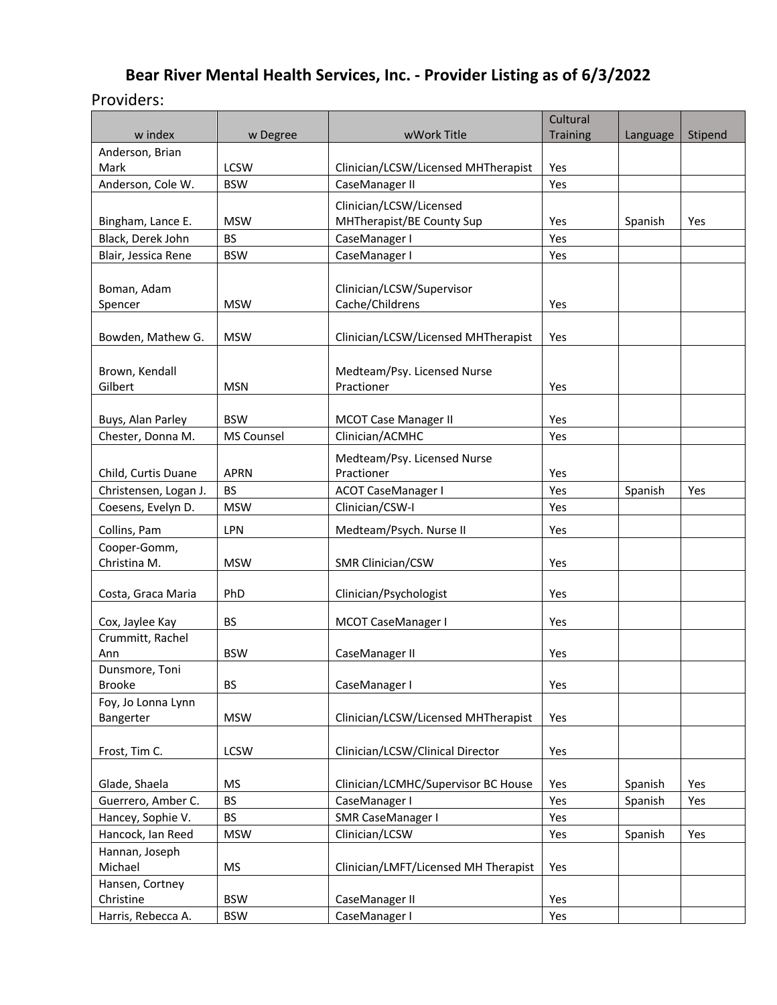# **Bear River Mental Health Services, Inc. - Provider Listing as of 6/3/2022**

#### Providers:

|                       |                   |                                      | Cultural        |          |         |
|-----------------------|-------------------|--------------------------------------|-----------------|----------|---------|
| w index               | w Degree          | wWork Title                          | <b>Training</b> | Language | Stipend |
| Anderson, Brian       |                   |                                      |                 |          |         |
| Mark                  | <b>LCSW</b>       | Clinician/LCSW/Licensed MHTherapist  | Yes             |          |         |
| Anderson, Cole W.     | <b>BSW</b>        | CaseManager II                       | Yes             |          |         |
|                       |                   | Clinician/LCSW/Licensed              |                 |          |         |
| Bingham, Lance E.     | <b>MSW</b>        | MHTherapist/BE County Sup            | Yes             | Spanish  | Yes     |
| Black, Derek John     | <b>BS</b>         | CaseManager I                        | Yes             |          |         |
| Blair, Jessica Rene   | <b>BSW</b>        | CaseManager I                        | Yes             |          |         |
|                       |                   |                                      |                 |          |         |
| Boman, Adam           |                   | Clinician/LCSW/Supervisor            |                 |          |         |
| Spencer               | <b>MSW</b>        | Cache/Childrens                      | Yes             |          |         |
|                       |                   |                                      |                 |          |         |
| Bowden, Mathew G.     | <b>MSW</b>        | Clinician/LCSW/Licensed MHTherapist  | Yes             |          |         |
|                       |                   |                                      |                 |          |         |
| Brown, Kendall        |                   | Medteam/Psy. Licensed Nurse          |                 |          |         |
| Gilbert               | <b>MSN</b>        | Practioner                           | Yes             |          |         |
|                       |                   |                                      |                 |          |         |
| Buys, Alan Parley     | <b>BSW</b>        | <b>MCOT Case Manager II</b>          | Yes             |          |         |
| Chester, Donna M.     | <b>MS Counsel</b> | Clinician/ACMHC                      | Yes             |          |         |
|                       |                   | Medteam/Psy. Licensed Nurse          |                 |          |         |
| Child, Curtis Duane   | <b>APRN</b>       | Practioner                           | Yes             |          |         |
| Christensen, Logan J. | <b>BS</b>         | <b>ACOT CaseManager I</b>            | Yes             | Spanish  | Yes     |
| Coesens, Evelyn D.    | <b>MSW</b>        | Clinician/CSW-I                      | Yes             |          |         |
|                       |                   |                                      |                 |          |         |
| Collins, Pam          | LPN               | Medteam/Psych. Nurse II              | Yes             |          |         |
| Cooper-Gomm,          |                   |                                      |                 |          |         |
| Christina M.          | <b>MSW</b>        | SMR Clinician/CSW                    | Yes             |          |         |
|                       |                   |                                      |                 |          |         |
| Costa, Graca Maria    | PhD               | Clinician/Psychologist               | Yes             |          |         |
| Cox, Jaylee Kay       | <b>BS</b>         | MCOT CaseManager I                   | Yes             |          |         |
| Crummitt, Rachel      |                   |                                      |                 |          |         |
| Ann                   | <b>BSW</b>        | CaseManager II                       | Yes             |          |         |
| Dunsmore, Toni        |                   |                                      |                 |          |         |
| Brooke                | <b>BS</b>         | CaseManager I                        | Yes             |          |         |
| Foy, Jo Lonna Lynn    |                   |                                      |                 |          |         |
| Bangerter             | <b>MSW</b>        | Clinician/LCSW/Licensed MHTherapist  | Yes             |          |         |
|                       |                   |                                      |                 |          |         |
| Frost, Tim C.         | LCSW              | Clinician/LCSW/Clinical Director     | Yes             |          |         |
|                       |                   |                                      |                 |          |         |
| Glade, Shaela         | <b>MS</b>         | Clinician/LCMHC/Supervisor BC House  | Yes             | Spanish  | Yes     |
| Guerrero, Amber C.    | <b>BS</b>         | CaseManager I                        | Yes             | Spanish  | Yes     |
| Hancey, Sophie V.     | <b>BS</b>         | SMR CaseManager I                    | Yes             |          |         |
| Hancock, Ian Reed     | <b>MSW</b>        | Clinician/LCSW                       | Yes             | Spanish  | Yes     |
| Hannan, Joseph        |                   |                                      |                 |          |         |
| Michael               | <b>MS</b>         | Clinician/LMFT/Licensed MH Therapist | Yes             |          |         |
| Hansen, Cortney       |                   |                                      |                 |          |         |
| Christine             | <b>BSW</b>        | CaseManager II                       | Yes             |          |         |
| Harris, Rebecca A.    | <b>BSW</b>        | CaseManager I                        | Yes             |          |         |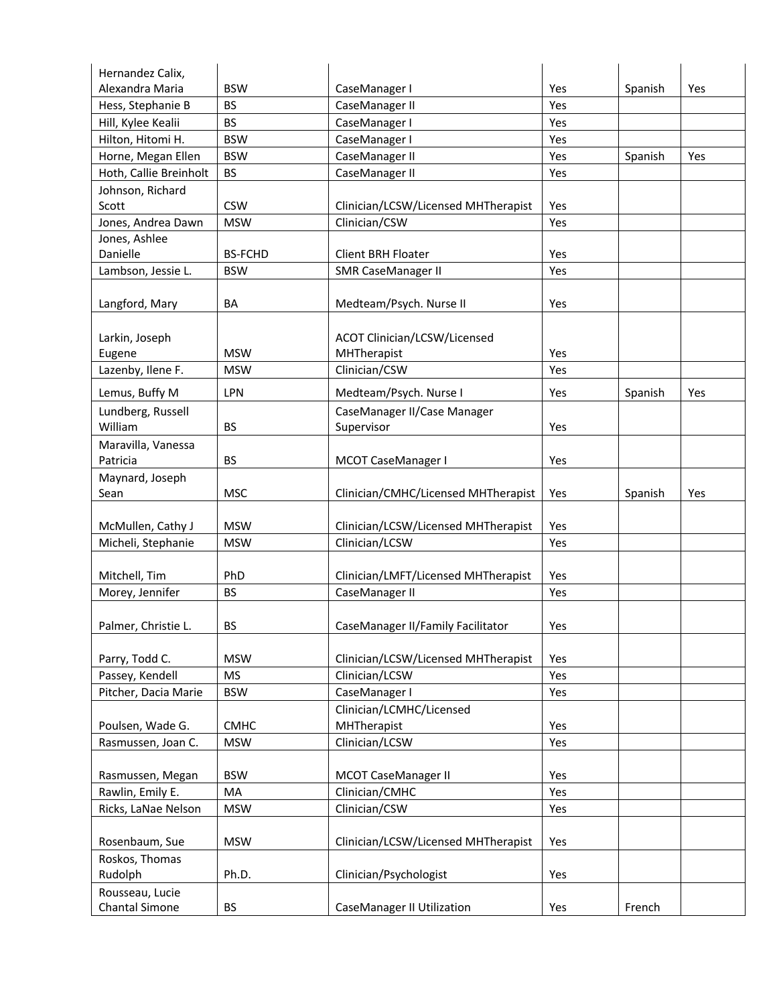| Hernandez Calix,                  |                |                                         |     |         |     |
|-----------------------------------|----------------|-----------------------------------------|-----|---------|-----|
| Alexandra Maria                   | <b>BSW</b>     | CaseManager I                           | Yes | Spanish | Yes |
| Hess, Stephanie B                 | <b>BS</b>      | CaseManager II                          | Yes |         |     |
| Hill, Kylee Kealii                | <b>BS</b>      | CaseManager I                           | Yes |         |     |
| Hilton, Hitomi H.                 | <b>BSW</b>     | CaseManager I                           | Yes |         |     |
| Horne, Megan Ellen                | <b>BSW</b>     | CaseManager II                          | Yes | Spanish | Yes |
| Hoth, Callie Breinholt            | <b>BS</b>      | CaseManager II                          | Yes |         |     |
| Johnson, Richard                  |                |                                         |     |         |     |
| Scott                             | <b>CSW</b>     | Clinician/LCSW/Licensed MHTherapist     | Yes |         |     |
| Jones, Andrea Dawn                | <b>MSW</b>     | Clinician/CSW                           | Yes |         |     |
| Jones, Ashlee                     |                |                                         |     |         |     |
| Danielle                          | <b>BS-FCHD</b> | <b>Client BRH Floater</b>               | Yes |         |     |
| Lambson, Jessie L.                | <b>BSW</b>     | <b>SMR CaseManager II</b>               | Yes |         |     |
| Langford, Mary                    | BA             | Medteam/Psych. Nurse II                 | Yes |         |     |
|                                   |                |                                         |     |         |     |
| Larkin, Joseph                    |                | ACOT Clinician/LCSW/Licensed            |     |         |     |
| Eugene                            | <b>MSW</b>     | MHTherapist                             | Yes |         |     |
| Lazenby, Ilene F.                 | <b>MSW</b>     | Clinician/CSW                           | Yes |         |     |
| Lemus, Buffy M                    | <b>LPN</b>     | Medteam/Psych. Nurse I                  | Yes | Spanish | Yes |
| Lundberg, Russell                 |                | CaseManager II/Case Manager             |     |         |     |
| William                           | <b>BS</b>      | Supervisor                              | Yes |         |     |
| Maravilla, Vanessa                |                |                                         |     |         |     |
| Patricia                          | <b>BS</b>      | MCOT CaseManager I                      | Yes |         |     |
| Maynard, Joseph                   |                |                                         |     |         |     |
| Sean                              | <b>MSC</b>     | Clinician/CMHC/Licensed MHTherapist     | Yes | Spanish | Yes |
|                                   |                |                                         |     |         |     |
| McMullen, Cathy J                 | <b>MSW</b>     | Clinician/LCSW/Licensed MHTherapist     | Yes |         |     |
| Micheli, Stephanie                | <b>MSW</b>     | Clinician/LCSW                          | Yes |         |     |
|                                   |                |                                         |     |         |     |
| Mitchell, Tim                     | PhD            | Clinician/LMFT/Licensed MHTherapist     | Yes |         |     |
| Morey, Jennifer                   | <b>BS</b>      | CaseManager II                          | Yes |         |     |
| Palmer, Christie L.               | <b>BS</b>      | CaseManager II/Family Facilitator       | Yes |         |     |
|                                   |                |                                         |     |         |     |
| Parry, Todd C.                    | <b>MSW</b>     | Clinician/LCSW/Licensed MHTherapist     | Yes |         |     |
| Passey, Kendell                   | <b>MS</b>      | Clinician/LCSW                          | Yes |         |     |
| Pitcher, Dacia Marie              | <b>BSW</b>     | CaseManager I                           | Yes |         |     |
| Poulsen, Wade G.                  | <b>CMHC</b>    | Clinician/LCMHC/Licensed<br>MHTherapist | Yes |         |     |
| Rasmussen, Joan C.                | <b>MSW</b>     | Clinician/LCSW                          | Yes |         |     |
|                                   |                |                                         |     |         |     |
| Rasmussen, Megan                  | <b>BSW</b>     | <b>MCOT CaseManager II</b>              | Yes |         |     |
| Rawlin, Emily E.                  | MA             | Clinician/CMHC                          | Yes |         |     |
| Ricks, LaNae Nelson               | <b>MSW</b>     | Clinician/CSW                           | Yes |         |     |
|                                   |                |                                         |     |         |     |
| Rosenbaum, Sue                    | <b>MSW</b>     | Clinician/LCSW/Licensed MHTherapist     | Yes |         |     |
| Roskos, Thomas                    |                |                                         |     |         |     |
| Rudolph                           | Ph.D.          | Clinician/Psychologist                  | Yes |         |     |
| Rousseau, Lucie<br>Chantal Simone | <b>BS</b>      | <b>CaseManager II Utilization</b>       |     | French  |     |
|                                   |                |                                         | Yes |         |     |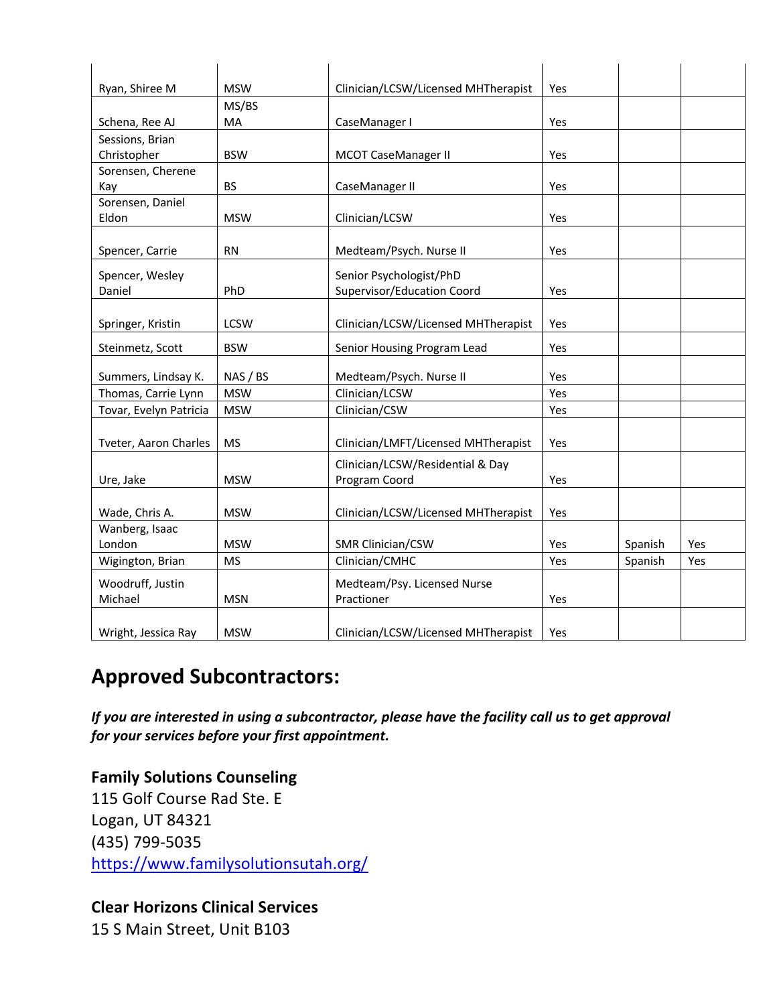| Ryan, Shiree M              | <b>MSW</b>  | Clinician/LCSW/Licensed MHTherapist       | Yes |         |     |
|-----------------------------|-------------|-------------------------------------------|-----|---------|-----|
|                             | MS/BS       |                                           |     |         |     |
| Schena, Ree AJ              | <b>MA</b>   | CaseManager I                             | Yes |         |     |
| Sessions, Brian             |             |                                           |     |         |     |
| Christopher                 | <b>BSW</b>  | <b>MCOT CaseManager II</b>                | Yes |         |     |
| Sorensen, Cherene           |             |                                           |     |         |     |
| Kay                         | <b>BS</b>   | CaseManager II                            | Yes |         |     |
| Sorensen, Daniel            |             |                                           |     |         |     |
| Eldon                       | <b>MSW</b>  | Clinician/LCSW                            | Yes |         |     |
|                             |             |                                           |     |         |     |
| Spencer, Carrie             | <b>RN</b>   | Medteam/Psych. Nurse II                   | Yes |         |     |
| Spencer, Wesley             |             | Senior Psychologist/PhD                   |     |         |     |
| Daniel                      | PhD         | Supervisor/Education Coord                | Yes |         |     |
|                             |             |                                           |     |         |     |
| Springer, Kristin           | <b>LCSW</b> | Clinician/LCSW/Licensed MHTherapist       | Yes |         |     |
| Steinmetz, Scott            | <b>BSW</b>  | Senior Housing Program Lead               | Yes |         |     |
|                             |             |                                           |     |         |     |
| Summers, Lindsay K.         | NAS / BS    | Medteam/Psych. Nurse II<br>Clinician/LCSW | Yes |         |     |
| Thomas, Carrie Lynn         | <b>MSW</b>  |                                           | Yes |         |     |
| Tovar, Evelyn Patricia      | <b>MSW</b>  | Clinician/CSW                             | Yes |         |     |
| Tveter, Aaron Charles       | <b>MS</b>   | Clinician/LMFT/Licensed MHTherapist       | Yes |         |     |
|                             |             | Clinician/LCSW/Residential & Day          |     |         |     |
| Ure, Jake                   | <b>MSW</b>  | Program Coord                             | Yes |         |     |
|                             |             |                                           |     |         |     |
| Wade, Chris A.              | <b>MSW</b>  | Clinician/LCSW/Licensed MHTherapist       | Yes |         |     |
| Wanberg, Isaac              |             |                                           |     |         |     |
| London                      | <b>MSW</b>  | SMR Clinician/CSW                         | Yes | Spanish | Yes |
| Wigington, Brian            | <b>MS</b>   | Clinician/CMHC                            | Yes | Spanish | Yes |
|                             |             |                                           |     |         |     |
| Woodruff, Justin<br>Michael | <b>MSN</b>  | Medteam/Psy. Licensed Nurse<br>Practioner | Yes |         |     |
|                             |             |                                           |     |         |     |
| Wright, Jessica Ray         | <b>MSW</b>  | Clinician/LCSW/Licensed MHTherapist       | Yes |         |     |

## **Approved Subcontractors:**

*If you are interested in using a subcontractor, please have the facility call us to get approval for your services before your first appointment.*

## **Family Solutions Counseling** 115 Golf Course Rad Ste. E Logan, UT 84321

(435) 799-5035 https://www.familysolutionsutah.org/

### **Clear Horizons Clinical Services**

15 S Main Street, Unit B103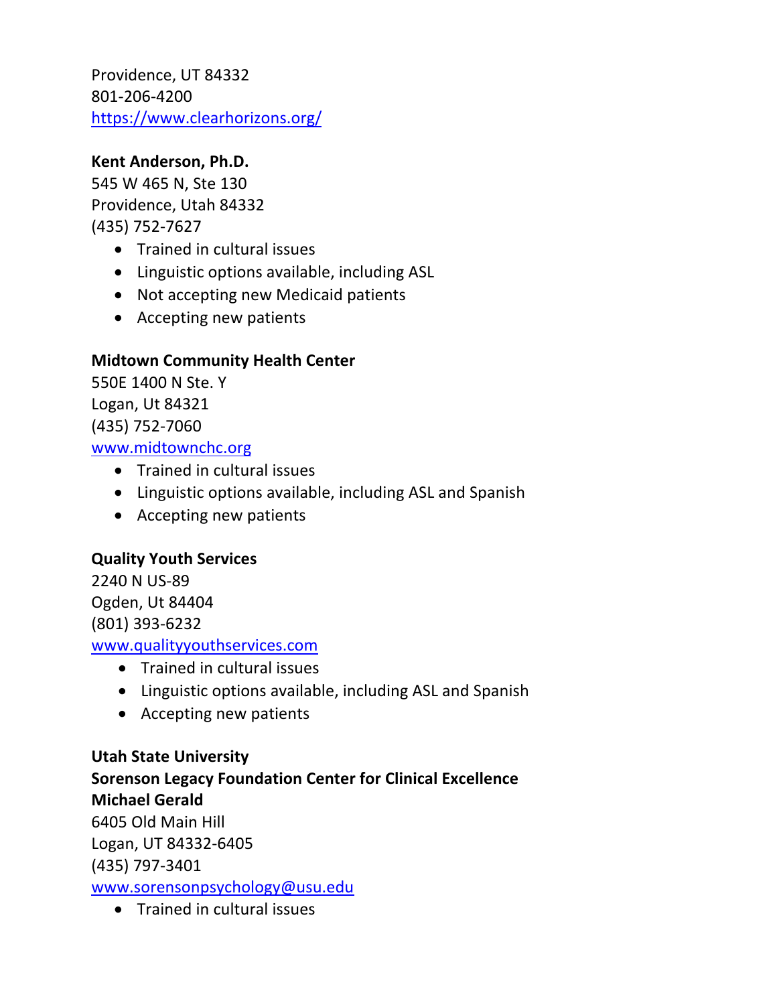Providence, UT 84332 801-206-4200 https://www.clearhorizons.org/

#### **Kent Anderson, Ph.D.**

545 W 465 N, Ste 130 Providence, Utah 84332 (435) 752-7627

- Trained in cultural issues
- Linguistic options available, including ASL
- Not accepting new Medicaid patients
- Accepting new patients

#### **Midtown Community Health Center**

550E 1400 N Ste. Y Logan, Ut 84321 (435) 752-7060 www.midtownchc.org

- Trained in cultural issues
- Linguistic options available, including ASL and Spanish
- Accepting new patients

#### **Quality Youth Services**

2240 N US-89 Ogden, Ut 84404 (801) 393-6232 www.qualityyouthservices.com

- Trained in cultural issues
- Linguistic options available, including ASL and Spanish
- Accepting new patients

#### **Utah State University**

**Sorenson Legacy Foundation Center for Clinical Excellence Michael Gerald** 6405 Old Main Hill Logan, UT 84332-6405 (435) 797-3401 www.sorensonpsychology@usu.edu

• Trained in cultural issues